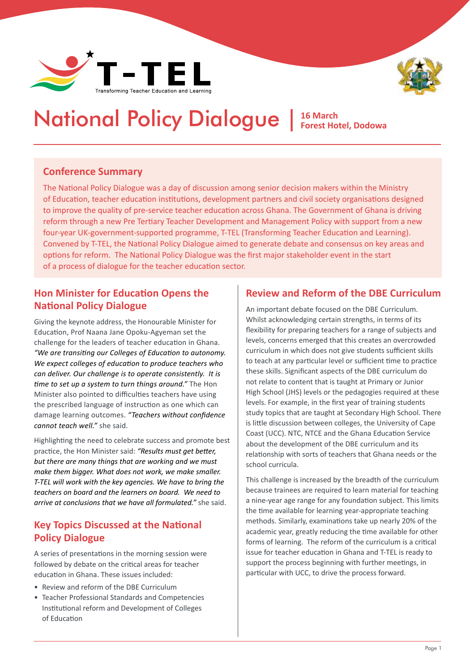



# National Policy Dialogue | **16 March Forest Hotel, Dodowa**

#### **Conference Summary**

The National Policy Dialogue was a day of discussion among senior decision makers within the Ministry of Education, teacher education institutions, development partners and civil society organisations designed to improve the quality of pre-service teacher education across Ghana. The Government of Ghana is driving reform through a new Pre Tertiary Teacher Development and Management Policy with support from a new four-year UK-government-supported programme, T-TEL (Transforming Teacher Education and Learning). Convened by T-TEL, the National Policy Dialogue aimed to generate debate and consensus on key areas and options for reform. The National Policy Dialogue was the first major stakeholder event in the start of a process of dialogue for the teacher education sector.

### **Hon Minister for Education Opens the National Policy Dialogue**

Giving the keynote address, the Honourable Minister for Education, Prof Naana Jane Opoku-Agyeman set the challenge for the leaders of teacher education in Ghana. *"We are transiting our Colleges of Education to autonomy. We expect colleges of education to produce teachers who can deliver. Our challenge is to operate consistently. It is time to set up a system to turn things around."* The Hon Minister also pointed to difficulties teachers have using the prescribed language of instruction as one which can damage learning outcomes. *"Teachers without confidence cannot teach well."* she said.

Highlighting the need to celebrate success and promote best practice, the Hon Minister said: *"Results must get better, but there are many things that are working and we must make them bigger. What does not work, we make smaller. T-TEL will work with the key agencies. We have to bring the teachers on board and the learners on board. We need to arrive at conclusions that we have all formulated."* she said.

#### **Key Topics Discussed at the National Policy Dialogue**

A series of presentations in the morning session were followed by debate on the critical areas for teacher education in Ghana. These issues included:

- Review and reform of the DBE Curriculum
- Teacher Professional Standards and Competencies Institutional reform and Development of Colleges of Education

#### **Review and Reform of the DBE Curriculum**

An important debate focused on the DBE Curriculum. Whilst acknowledging certain strengths, in terms of its flexibility for preparing teachers for a range of subjects and levels, concerns emerged that this creates an overcrowded curriculum in which does not give students sufficient skills to teach at any particular level or sufficient time to practice these skills. Significant aspects of the DBE curriculum do not relate to content that is taught at Primary or Junior High School (JHS) levels or the pedagogies required at these levels. For example, in the first year of training students study topics that are taught at Secondary High School. There is little discussion between colleges, the University of Cape Coast (UCC). NTC, NTCE and the Ghana Education Service about the development of the DBE curriculum and its relationship with sorts of teachers that Ghana needs or the school curricula.

This challenge is increased by the breadth of the curriculum because trainees are required to learn material for teaching a nine-year age range for any foundation subject. This limits the time available for learning year-appropriate teaching methods. Similarly, examinations take up nearly 20% of the academic year, greatly reducing the time available for other forms of learning. The reform of the curriculum is a critical issue for teacher education in Ghana and T-TEL is ready to support the process beginning with further meetings, in particular with UCC, to drive the process forward.